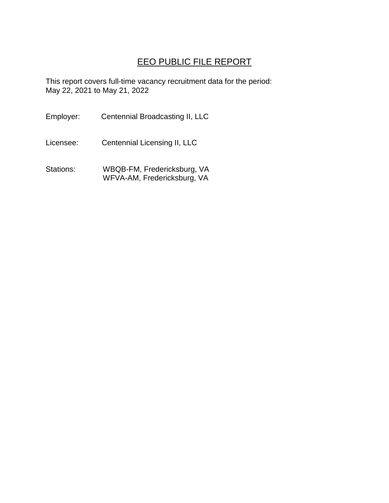## EEO PUBLIC FILE REPORT

This report covers full-time vacancy recruitment data for the period: May 22, 2021 to May 21, 2022

Employer: Centennial Broadcasting II, LLC

Licensee: Centennial Licensing II, LLC

Stations: WBQB-FM, Fredericksburg, VA WFVA-AM, Fredericksburg, VA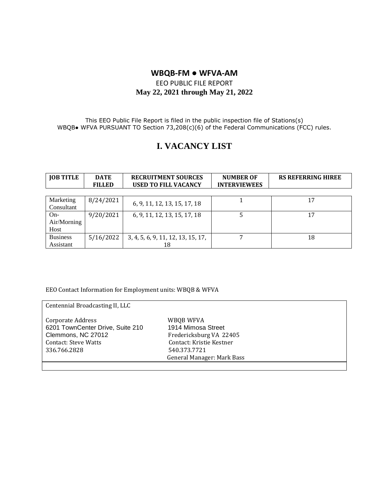### **WBQB-FM ● WFVA-AM**

#### EEO PUBLIC FILE REPORT **May 22, 2021 through May 21, 2022**

This EEO Public File Report is filed in the public inspection file of Stations(s) WBQB• WFVA PURSUANT TO Section 73,208(c)(6) of the Federal Communications (FCC) rules.

# **I. VACANCY LIST**

| <b>JOB TITLE</b> | <b>DATE</b>   | <b>RECRUITMENT SOURCES</b>         | <b>NUMBER OF</b>    | <b>RS REFERRING HIREE</b> |
|------------------|---------------|------------------------------------|---------------------|---------------------------|
|                  | <b>FILLED</b> | <b>USED TO FILL VACANCY</b>        | <b>INTERVIEWEES</b> |                           |
|                  |               |                                    |                     |                           |
| Marketing        | 8/24/2021     |                                    |                     | 17                        |
| Consultant       |               | 6, 9, 11, 12, 13, 15, 17, 18       |                     |                           |
| $On-$            | 9/20/2021     | 6, 9, 11, 12, 13, 15, 17, 18       |                     | 17                        |
| Air/Morning      |               |                                    |                     |                           |
| Host             |               |                                    |                     |                           |
| <b>Business</b>  | 5/16/2022     | 3, 4, 5, 6, 9, 11, 12, 13, 15, 17, |                     | 18                        |
| Assistant        |               | 18                                 |                     |                           |

EEO Contact Information for Employment units: WBQB & WFVA

| Centennial Broadcasting II, LLC                                                                                            |                                                                                                                                      |
|----------------------------------------------------------------------------------------------------------------------------|--------------------------------------------------------------------------------------------------------------------------------------|
| Corporate Address<br>6201 TownCenter Drive, Suite 210<br>Clemmons, NC 27012<br><b>Contact: Steve Watts</b><br>336.766.2828 | WBQB WFVA<br>1914 Mimosa Street<br>Fredericksburg VA 22405<br>Contact: Kristie Kestner<br>540.373.7721<br>General Manager: Mark Bass |
|                                                                                                                            |                                                                                                                                      |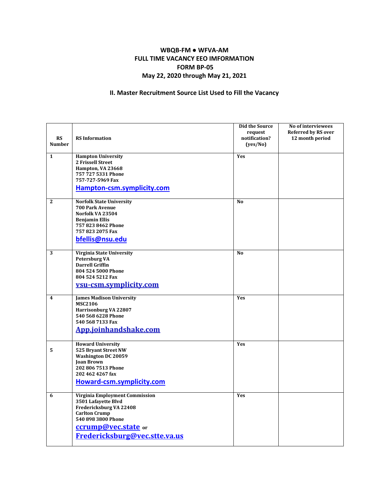#### **WBQB-FM ● WFVA-AM FULL TIME VACANCY EEO IMFORMATION FORM BP-05 May 22, 2020 through May 21, 2021**

#### **II. Master Recruitment Source List Used to Fill the Vacancy**

| <b>RS</b>     | <b>RS</b> Information                                                                                                                                                                         | Did the Source<br>request<br>notification? | No of interviewees<br><b>Referred by RS over</b><br>12 month period |
|---------------|-----------------------------------------------------------------------------------------------------------------------------------------------------------------------------------------------|--------------------------------------------|---------------------------------------------------------------------|
| <b>Number</b> |                                                                                                                                                                                               | (yes/No)                                   |                                                                     |
| $\mathbf{1}$  | <b>Hampton University</b><br>2 Frissell Street<br>Hampton, VA 23668<br>757 727 5331 Phone                                                                                                     | Yes                                        |                                                                     |
|               | 757-727-5969 Fax<br>Hampton-csm.symplicity.com                                                                                                                                                |                                            |                                                                     |
| $\mathbf{2}$  | <b>Norfolk State University</b><br><b>700 Park Avenue</b><br>Norfolk VA 23504<br><b>Benjamin Ellis</b><br>757 823 8462 Phone<br>757 823 2075 Fax<br>bfellis@nsu.edu                           | N <sub>0</sub>                             |                                                                     |
| 3             | Virginia State University<br><b>Petersburg VA</b><br><b>Darrell Griffin</b><br>804 524 5000 Phone<br>804 524 5212 Fax<br>vsu-csm.symplicity.com                                               | N <sub>0</sub>                             |                                                                     |
| 4             | <b>James Madison University</b><br><b>MSC2106</b><br>Harrisonburg VA 22807<br>540 568 6228 Phone<br>540 568 7133 Fax<br>App.joinhandshake.com                                                 | Yes                                        |                                                                     |
| 5             | <b>Howard University</b><br>525 Bryant Street NW<br><b>Washington DC 20059</b><br><b>Ioan Brown</b><br>202 806 7513 Phone<br>202 462 4267 fax<br>Howard-csm.symplicity.com                    | Yes                                        |                                                                     |
| 6             | <b>Virginia Employment Commission</b><br>3501 Lafayette Blvd<br>Fredericksburg VA 22408<br><b>Carlton Crump</b><br>540 898 3800 Phone<br>ccrump@vec.state or<br>Fredericksburg@vec.stte.va.us | Yes                                        |                                                                     |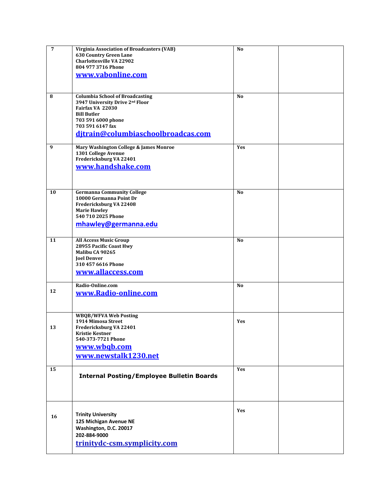| 7  | Virginia Association of Broadcasters (VAB)       | N <sub>0</sub> |  |
|----|--------------------------------------------------|----------------|--|
|    | <b>630 Country Green Lane</b>                    |                |  |
|    | <b>Charlottesville VA 22902</b>                  |                |  |
|    | 804 977 3716 Phone                               |                |  |
|    | www.vabonline.com                                |                |  |
|    |                                                  |                |  |
|    |                                                  |                |  |
| 8  | <b>Columbia School of Broadcasting</b>           | N <sub>0</sub> |  |
|    | 3947 University Drive 2nd Floor                  |                |  |
|    | Fairfax VA 22030                                 |                |  |
|    | <b>Bill Butler</b>                               |                |  |
|    | 703 591 6000 phone                               |                |  |
|    | 703 591 6147 fax                                 |                |  |
|    | ditrain@columbiaschoolbroadcas.com               |                |  |
|    |                                                  |                |  |
| 9  | Mary Washington College & James Monroe           | Yes            |  |
|    | 1301 College Avenue                              |                |  |
|    | Fredericksburg VA 22401                          |                |  |
|    | www.handshake.com                                |                |  |
|    |                                                  |                |  |
|    |                                                  |                |  |
| 10 | <b>Germanna Community College</b>                | N <sub>0</sub> |  |
|    | 10000 Germanna Point Dr                          |                |  |
|    | Fredericksburg VA 22408                          |                |  |
|    | <b>Marie Hawley</b>                              |                |  |
|    | 540 710 2025 Phone                               |                |  |
|    | mhawley@germanna.edu                             |                |  |
|    |                                                  |                |  |
| 11 | <b>All Access Music Group</b>                    | N <sub>0</sub> |  |
|    | 28955 Pacific Coast Hwy                          |                |  |
|    | Malibu CA 90265                                  |                |  |
|    | <b>Joel Denver</b>                               |                |  |
|    | 310 457 6616 Phone                               |                |  |
|    | www.allaccess.com                                |                |  |
|    |                                                  |                |  |
|    | Radio-Online.com                                 | N <sub>0</sub> |  |
| 12 | www.Radio-online.com                             |                |  |
|    |                                                  |                |  |
|    |                                                  |                |  |
|    | <b>WBQB/WFVA Web Posting</b>                     |                |  |
|    | 1914 Mimosa Street                               | Yes            |  |
| 13 | Fredericksburg VA 22401                          |                |  |
|    | <b>Kristie Kestner</b>                           |                |  |
|    | 540-373-7721 Phone                               |                |  |
|    | www.wbqb.com                                     |                |  |
|    | www.newstalk1230.net                             |                |  |
|    |                                                  |                |  |
| 15 |                                                  | <b>Yes</b>     |  |
|    | <b>Internal Posting/Employee Bulletin Boards</b> |                |  |
|    |                                                  |                |  |
|    |                                                  |                |  |
|    |                                                  |                |  |
|    |                                                  |                |  |
|    |                                                  | Yes            |  |
| 16 | <b>Trinity University</b>                        |                |  |
|    | 125 Michigan Avenue NE                           |                |  |
|    | Washington, D.C. 20017                           |                |  |
|    | 202-884-9000                                     |                |  |
|    | trinitydc-csm.symplicity.com                     |                |  |
|    |                                                  |                |  |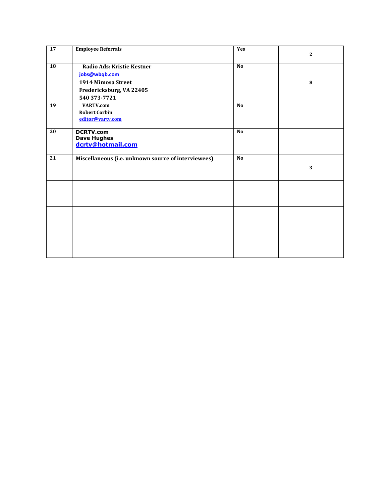| 17              | <b>Employee Referrals</b>                           | Yes            | $\mathbf{2}$            |
|-----------------|-----------------------------------------------------|----------------|-------------------------|
| $\overline{18}$ | Radio Ads: Kristie Kestner                          | <b>No</b>      |                         |
|                 | jobs@wbqb.com                                       |                |                         |
|                 | 1914 Mimosa Street                                  |                | 8                       |
|                 | Fredericksburg, VA 22405                            |                |                         |
|                 | 540 373-7721                                        |                |                         |
| 19              | <b>VARTV.com</b>                                    | <b>No</b>      |                         |
|                 | <b>Robert Corbin</b>                                |                |                         |
|                 | editor@vartv.com                                    |                |                         |
| 20              | <b>DCRTV.com</b>                                    | N <sub>o</sub> |                         |
|                 | <b>Dave Hughes</b>                                  |                |                         |
|                 | dcrtv@hotmail.com                                   |                |                         |
| 21              | Miscellaneous (i.e. unknown source of interviewees) | <b>No</b>      |                         |
|                 |                                                     |                | $\overline{\mathbf{3}}$ |
|                 |                                                     |                |                         |
|                 |                                                     |                |                         |
|                 |                                                     |                |                         |
|                 |                                                     |                |                         |
|                 |                                                     |                |                         |
|                 |                                                     |                |                         |
|                 |                                                     |                |                         |
|                 |                                                     |                |                         |
|                 |                                                     |                |                         |
|                 |                                                     |                |                         |